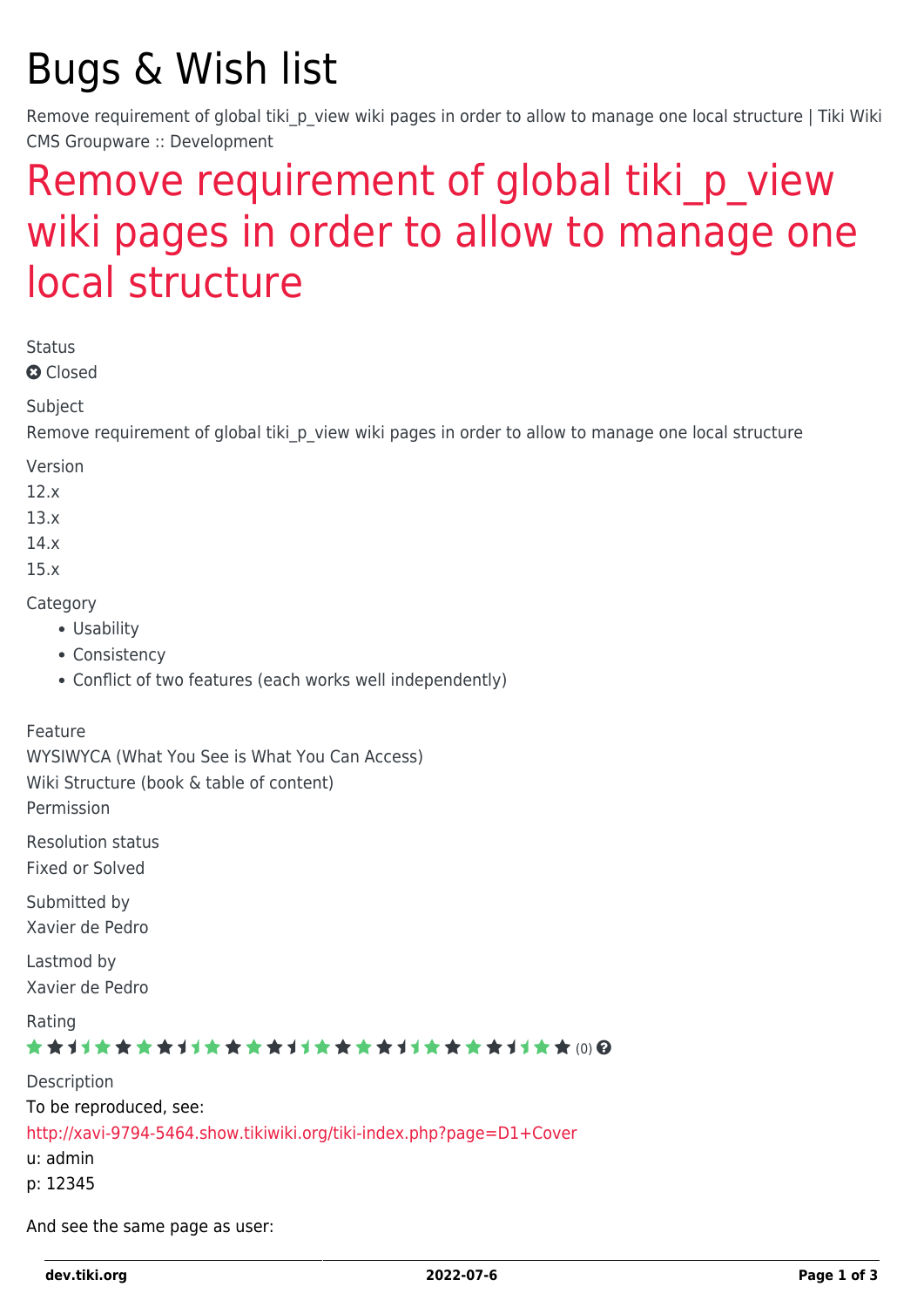# Bugs & Wish list

Remove requirement of global tiki p view wiki pages in order to allow to manage one local structure | Tiki Wiki CMS Groupware :: Development

## Remove requirement of global tiki p view [wiki pages in order to allow to manage one](https://dev.tiki.org/item5917-Remove-requirement-of-global-tiki_p_view-wiki-pages-in-order-to-allow-to-manage-one-local-structure) [local structure](https://dev.tiki.org/item5917-Remove-requirement-of-global-tiki_p_view-wiki-pages-in-order-to-allow-to-manage-one-local-structure)

Status

**Q** Closed

Subject

Remove requirement of global tiki p view wiki pages in order to allow to manage one local structure

Version

12.x

13.x

14.x

15.x

**Category** 

- Usability
- Consistency
- Conflict of two features (each works well independently)

#### Feature

WYSIWYCA (What You See is What You Can Access) Wiki Structure (book & table of content) Permission

Resolution status Fixed or Solved

Submitted by Xavier de Pedro

Lastmod by Xavier de Pedro

Rating \*\*\*\*\*\*\*\*\*\*\*\*\*\*\*\*\*\*\*\*\*\*\*\*\*\*\*\*\*\*\*

Description To be reproduced, see: <http://xavi-9794-5464.show.tikiwiki.org/tiki-index.php?page=D1+Cover> u: admin p: 12345

And see the same page as user: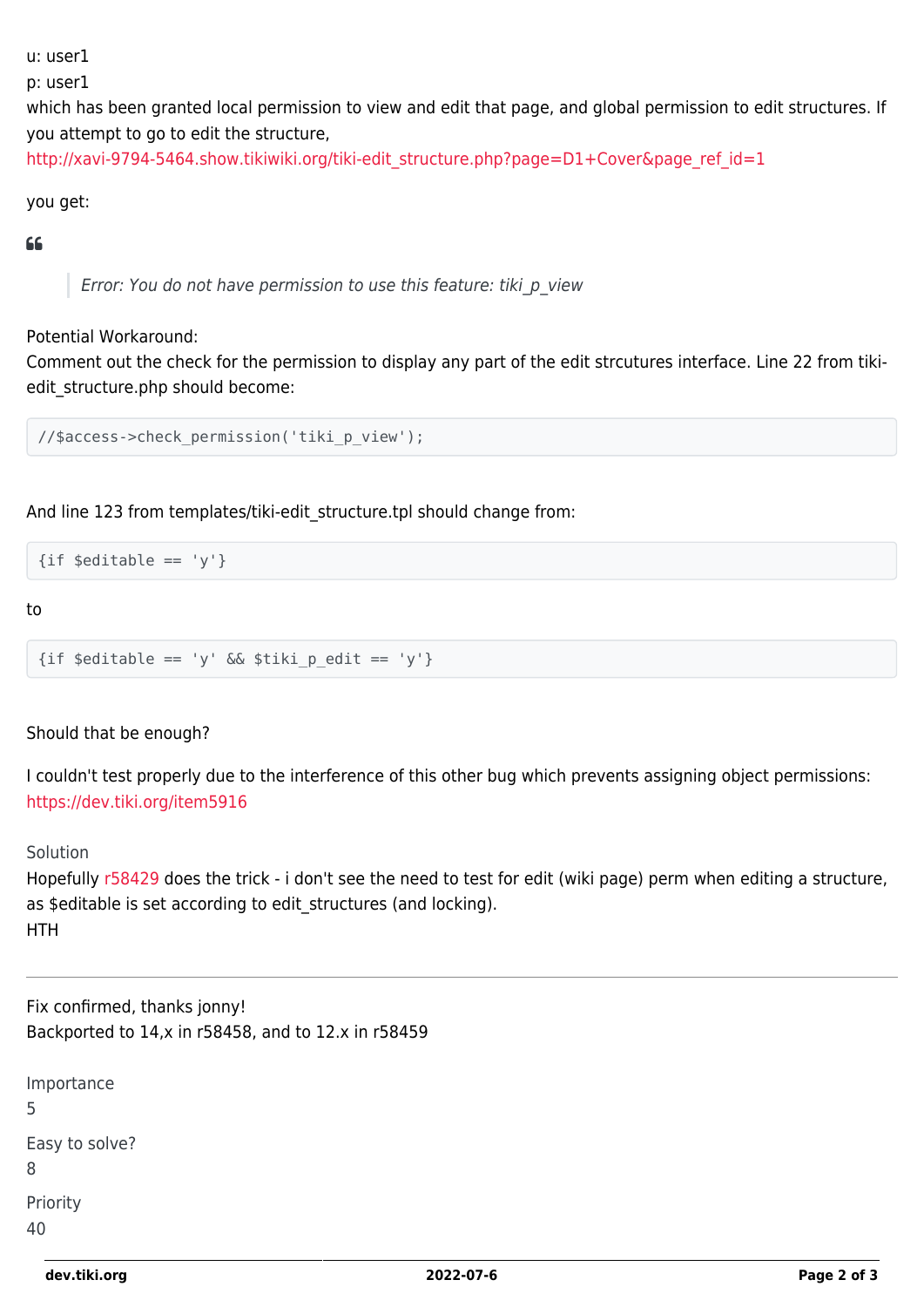u: user1

p: user1

which has been granted local permission to view and edit that page, and global permission to edit structures. If you attempt to go to edit the structure,

[http://xavi-9794-5464.show.tikiwiki.org/tiki-edit\\_structure.php?page=D1+Cover&page\\_ref\\_id=1](http://xavi-9794-5464.show.tikiwiki.org/tiki-edit_structure.php?page=D1+Cover&page_ref_id=1)

#### you get:

#### $\epsilon$

Error: You do not have permission to use this feature: tiki\_p\_view

#### Potential Workaround:

Comment out the check for the permission to display any part of the edit strcutures interface. Line 22 from tikiedit\_structure.php should become:

```
//$access->check_permission('tiki_p_view');
```
And line 123 from templates/tiki-edit\_structure.tpl should change from:

 $\{ \text{if } \text{seditable} == 'v' \}$ 

to

```
\{ \text{if } \text{ seditable} == 'y' \&\text{if } \text{stiki } p \text{ edit} == 'y' \}
```
#### Should that be enough?

I couldn't test properly due to the interference of this other bug which prevents assigning object permissions: <https://dev.tiki.org/item5916>

#### Solution

Hopefully [r58429](http://sourceforge.net/p/tikiwiki/code/58429) does the trick - i don't see the need to test for edit (wiki page) perm when editing a structure, as \$editable is set according to edit structures (and locking). HTH

Fix confirmed, thanks jonny! Backported to 14,x in r58458, and to 12.x in r58459

| Importance<br>5     |
|---------------------|
| Easy to solve?<br>8 |
| Priority<br>40      |